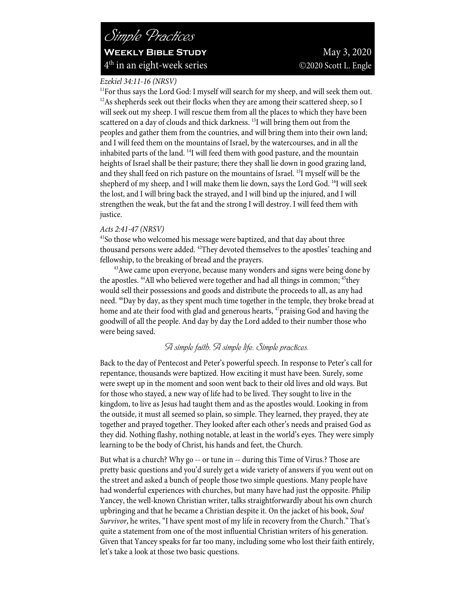# *Ezekiel 34:11-16 (NRSV)*

<sup>11</sup>For thus says the Lord God: I myself will search for my sheep, and will seek them out.  $12$ As shepherds seek out their flocks when they are among their scattered sheep, so I will seek out my sheep. I will rescue them from all the places to which they have been scattered on a day of clouds and thick darkness. <sup>13</sup>I will bring them out from the peoples and gather them from the countries, and will bring them into their own land; and I will feed them on the mountains of Israel, by the watercourses, and in all the inhabited parts of the land. 14I will feed them with good pasture, and the mountain heights of Israel shall be their pasture; there they shall lie down in good grazing land, and they shall feed on rich pasture on the mountains of Israel. 15I myself will be the shepherd of my sheep, and I will make them lie down, says the Lord God. <sup>16</sup>I will seek the lost, and I will bring back the strayed, and I will bind up the injured, and I will strengthen the weak, but the fat and the strong I will destroy. I will feed them with justice.

## *Acts 2:41-47 (NRSV)*

<sup>41</sup>So those who welcomed his message were baptized, and that day about three thousand persons were added. 42They devoted themselves to the apostles' teaching and fellowship, to the breaking of bread and the prayers. 43Awe came upon everyone, because many wonders and signs were being done by

the apostles. <sup>44</sup>All who believed were together and had all things in common; <sup>45</sup>they would sell their possessions and goods and distribute the proceeds to all, as any had need. <sup>46</sup>Day by day, as they spent much time together in the temple, they broke bread at home and ate their food with glad and generous hearts, <sup>47</sup>praising God and having the goodwill of all the people. And day by day the Lord added to their number those who were being saved.

# *A simple faith. A simple life. Simple practices.*

Back to the day of Pentecost and Peter's powerful speech. In response to Peter's call for repentance, thousands were baptized. How exciting it must have been. Surely, some were swept up in the moment and soon went back to their old lives and old ways. But for those who stayed, a new way of life had to be lived. They sought to live in the kingdom, to live as Jesus had taught them and as the apostles would. Looking in from the outside, it must all seemed so plain, so simple. They learned, they prayed, they ate together and prayed together. They looked after each other's needs and praised God as they did. Nothing flashy, nothing notable, at least in the world's eyes. They were simply learning to be the body of Christ, his hands and feet, the Church.

But what is a church? Why go -- or tune in -- during this Time of Virus.? Those are pretty basic questions and you'd surely get a wide variety of answers if you went out on the street and asked a bunch of people those two simple questions. Many people have had wonderful experiences with churches, but many have had just the opposite. Philip Yancey, the well-known Christian writer, talks straightforwardly about his own church upbringing and that he became a Christian despite it. On the jacket of his book, *Soul Survivor*, he writes, "I have spent most of my life in recovery from the Church." That's quite a statement from one of the most influential Christian writers of his generation. Given that Yancey speaks for far too many, including some who lost their faith entirely, let's take a look at those two basic questions.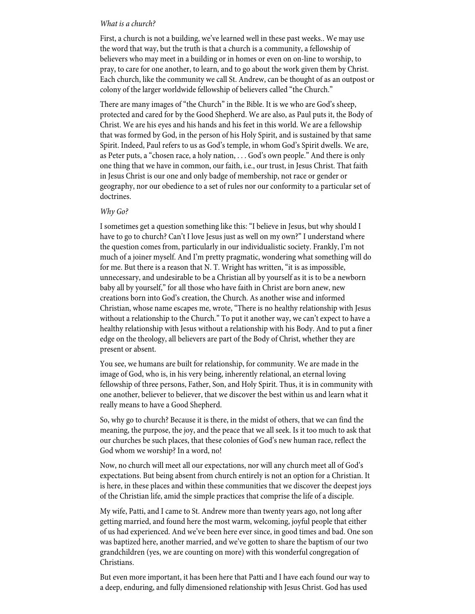#### *What is a church?*

First, a church is not a building, we've learned well in these past weeks.. We may use the word that way, but the truth is that a church is a community, a fellowship of believers who may meet in a building or in homes or even on on-line to worship, to pray, to care for one another, to learn, and to go about the work given them by Christ. Each church, like the community we call St. Andrew, can be thought of as an outpost or colony of the larger worldwide fellowship of believers called "the Church."

There are many images of "the Church" in the Bible. It is we who are God's sheep, protected and cared for by the Good Shepherd. We are also, as Paul puts it, the Body of Christ. We are his eyes and his hands and his feet in this world. We are a fellowship that was formed by God, in the person of his Holy Spirit, and is sustained by that same Spirit. Indeed, Paul refers to us as God's temple, in whom God's Spirit dwells. We are, as Peter puts, a "chosen race, a holy nation, . . . God's own people." And there is only one thing that we have in common, our faith, i.e., our trust, in Jesus Christ. That faith in Jesus Christ is our one and only badge of membership, not race or gender or geography, nor our obedience to a set of rules nor our conformity to a particular set of doctrines.

### *Why Go?*

I sometimes get a question something like this: "I believe in Jesus, but why should I have to go to church? Can't I love Jesus just as well on my own?" I understand where the question comes from, particularly in our individualistic society. Frankly, I'm not much of a joiner myself. And I'm pretty pragmatic, wondering what something will do for me. But there is a reason that N. T. Wright has written, "it is as impossible, unnecessary, and undesirable to be a Christian all by yourself as it is to be a newborn baby all by yourself," for all those who have faith in Christ are born anew, new creations born into God's creation, the Church. As another wise and informed Christian, whose name escapes me, wrote, "There is no healthy relationship with Jesus without a relationship to the Church." To put it another way, we can't expect to have a healthy relationship with Jesus without a relationship with his Body. And to put a finer edge on the theology, all believers are part of the Body of Christ, whether they are present or absent.

You see, we humans are built for relationship, for community. We are made in the image of God, who is, in his very being, inherently relational, an eternal loving fellowship of three persons, Father, Son, and Holy Spirit. Thus, it is in community with one another, believer to believer, that we discover the best within us and learn what it really means to have a Good Shepherd.

So, why go to church? Because it is there, in the midst of others, that we can find the meaning, the purpose, the joy, and the peace that we all seek. Is it too much to ask that our churches be such places, that these colonies of God's new human race, reflect the God whom we worship? In a word, no!

Now, no church will meet all our expectations, nor will any church meet all of God's expectations. But being absent from church entirely is not an option for a Christian. It is here, in these places and within these communities that we discover the deepest joys of the Christian life, amid the simple practices that comprise the life of a disciple.

My wife, Patti, and I came to St. Andrew more than twenty years ago, not long after getting married, and found here the most warm, welcoming, joyful people that either of us had experienced. And we've been here ever since, in good times and bad. One son was baptized here, another married, and we've gotten to share the baptism of our two grandchildren (yes, we are counting on more) with this wonderful congregation of Christians.

But even more important, it has been here that Patti and I have each found our way to a deep, enduring, and fully dimensioned relationship with Jesus Christ. God has used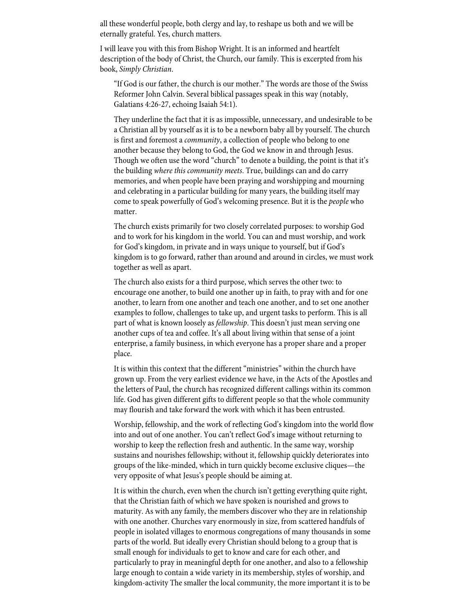all these wonderful people, both clergy and lay, to reshape us both and we will be eternally grateful. Yes, church matters.

I will leave you with this from Bishop Wright. It is an informed and heartfelt description of the body of Christ, the Church, our family. This is excerpted from his book, *Simply Christian*.

"If God is our father, the church is our mother." The words are those of the Swiss Reformer John Calvin. Several biblical passages speak in this way (notably, Galatians 4:26-27, echoing Isaiah 54:1).

They underline the fact that it is as impossible, unnecessary, and undesirable to be a Christian all by yourself as it is to be a newborn baby all by yourself. The church is first and foremost a *community*, a collection of people who belong to one another because they belong to God, the God we know in and through Jesus. Though we often use the word "church" to denote a building, the point is that it's the building *where this community meets*. True, buildings can and do carry memories, and when people have been praying and worshipping and mourning and celebrating in a particular building for many years, the building itself may come to speak powerfully of God's welcoming presence. But it is the *people* who matter.

The church exists primarily for two closely correlated purposes: to worship God and to work for his kingdom in the world. You can and must worship, and work for God's kingdom, in private and in ways unique to yourself, but if God's kingdom is to go forward, rather than around and around in circles, we must work together as well as apart.

The church also exists for a third purpose, which serves the other two: to encourage one another, to build one another up in faith, to pray with and for one another, to learn from one another and teach one another, and to set one another examples to follow, challenges to take up, and urgent tasks to perform. This is all part of what is known loosely as *fellowship*. This doesn't just mean serving one another cups of tea and coffee. It's all about living within that sense of a joint enterprise, a family business, in which everyone has a proper share and a proper place.

It is within this context that the different "ministries" within the church have grown up. From the very earliest evidence we have, in the Acts of the Apostles and the letters of Paul, the church has recognized different callings within its common life. God has given different gifts to different people so that the whole community may flourish and take forward the work with which it has been entrusted.

Worship, fellowship, and the work of reflecting God's kingdom into the world flow into and out of one another. You can't reflect God's image without returning to worship to keep the reflection fresh and authentic. In the same way, worship sustains and nourishes fellowship; without it, fellowship quickly deteriorates into groups of the like-minded, which in turn quickly become exclusive cliques—the very opposite of what Jesus's people should be aiming at.

It is within the church, even when the church isn't getting everything quite right, that the Christian faith of which we have spoken is nourished and grows to maturity. As with any family, the members discover who they are in relationship with one another. Churches vary enormously in size, from scattered handfuls of people in isolated villages to enormous congregations of many thousands in some parts of the world. But ideally every Christian should belong to a group that is small enough for individuals to get to know and care for each other, and particularly to pray in meaningful depth for one another, and also to a fellowship large enough to contain a wide variety in its membership, styles of worship, and kingdom-activity The smaller the local community, the more important it is to be